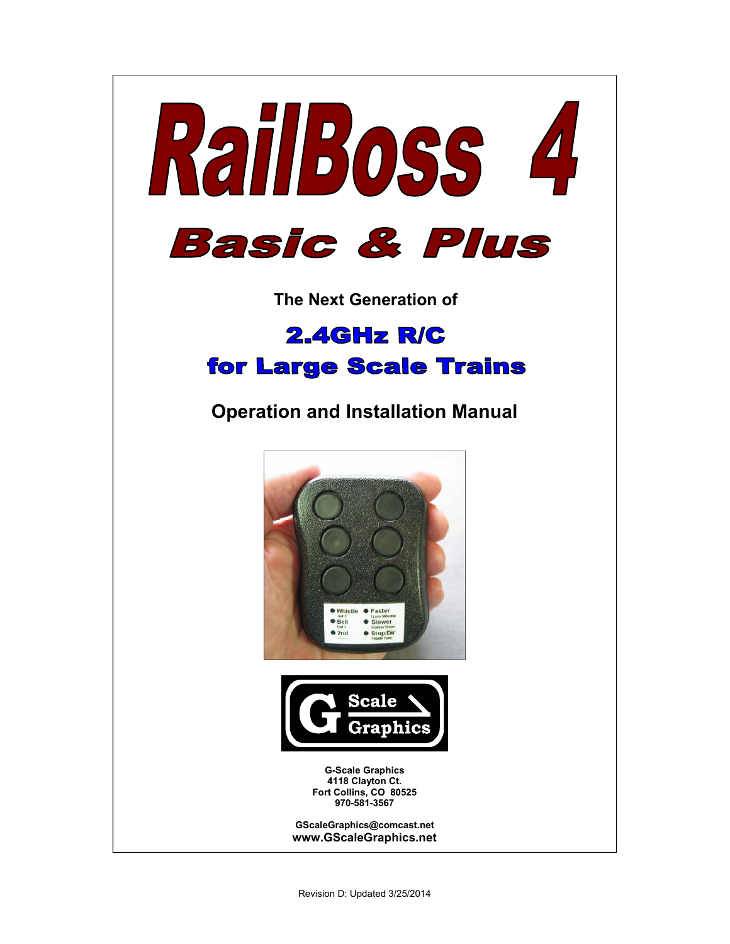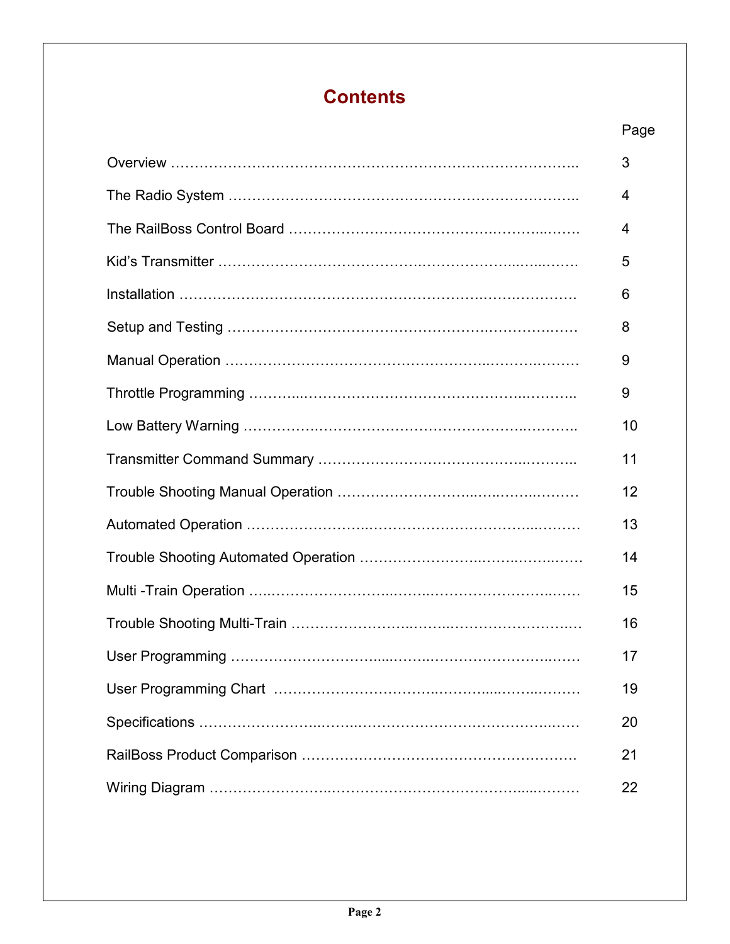# **Contents**

| Page |
|------|
| 3    |
| 4    |
| 4    |
| 5    |
| 6    |
| 8    |
| 9    |
| 9    |
| 10   |
| 11   |
| 12   |
| 13   |
| 14   |
| 15   |
| 16   |
| 17   |
| 19   |
| 20   |
| 21   |
| 22   |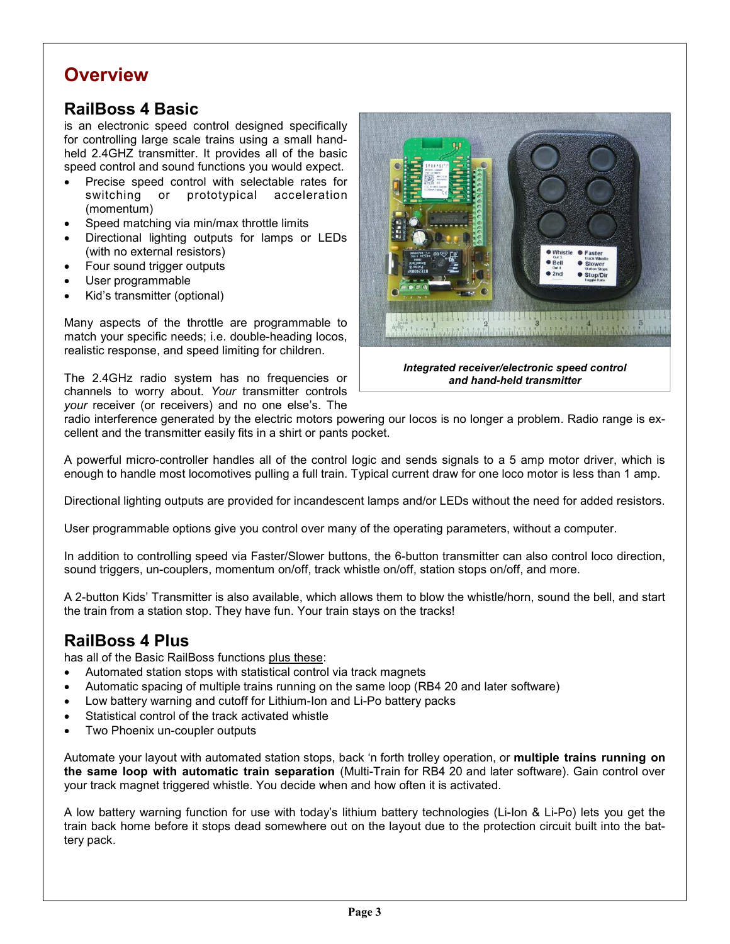# **Overview**

# **RailBoss 4 Basic**

is an electronic speed control designed specifically for controlling large scale trains using a small handheld 2.4GHZ transmitter. It provides all of the basic speed control and sound functions you would expect.

- Precise speed control with selectable rates for switching or prototypical acceleration (momentum)
- Speed matching via min/max throttle limits
- Directional lighting outputs for lamps or LEDs (with no external resistors)
- Four sound trigger outputs
- User programmable
- Kid's transmitter (optional)

Many aspects of the throttle are programmable to match your specific needs; i.e. double-heading locos, realistic response, and speed limiting for children.

The 2.4GHz radio system has no frequencies or channels to worry about. *Your* transmitter controls *your* receiver (or receivers) and no one else's. The



*Integrated receiver/electronic speed control and hand-held transmitter* 

radio interference generated by the electric motors powering our locos is no longer a problem. Radio range is excellent and the transmitter easily fits in a shirt or pants pocket.

A powerful micro-controller handles all of the control logic and sends signals to a 5 amp motor driver, which is enough to handle most locomotives pulling a full train. Typical current draw for one loco motor is less than 1 amp.

Directional lighting outputs are provided for incandescent lamps and/or LEDs without the need for added resistors.

User programmable options give you control over many of the operating parameters, without a computer.

In addition to controlling speed via Faster/Slower buttons, the 6-button transmitter can also control loco direction, sound triggers, un-couplers, momentum on/off, track whistle on/off, station stops on/off, and more.

A 2-button Kids' Transmitter is also available, which allows them to blow the whistle/horn, sound the bell, and start the train from a station stop. They have fun. Your train stays on the tracks!

## **RailBoss 4 Plus**

has all of the Basic RailBoss functions plus these:

- Automated station stops with statistical control via track magnets
- Automatic spacing of multiple trains running on the same loop (RB4 20 and later software)
- Low battery warning and cutoff for Lithium-Ion and Li-Po battery packs
- Statistical control of the track activated whistle
- Two Phoenix un-coupler outputs

Automate your layout with automated station stops, back 'n forth trolley operation, or **multiple trains running on the same loop with automatic train separation** (Multi-Train for RB4 20 and later software). Gain control over your track magnet triggered whistle. You decide when and how often it is activated.

A low battery warning function for use with today's lithium battery technologies (Li-Ion & Li-Po) lets you get the train back home before it stops dead somewhere out on the layout due to the protection circuit built into the battery pack.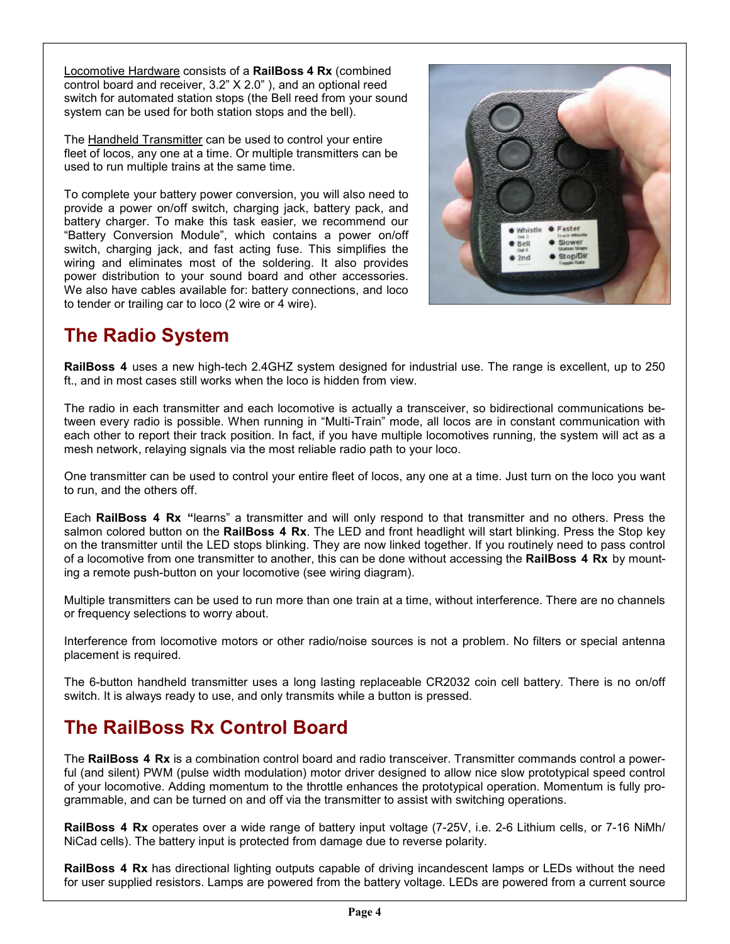Locomotive Hardware consists of a **RailBoss 4 Rx** (combined control board and receiver, 3.2" X 2.0" ), and an optional reed switch for automated station stops (the Bell reed from your sound system can be used for both station stops and the bell).

The Handheld Transmitter can be used to control your entire fleet of locos, any one at a time. Or multiple transmitters can be used to run multiple trains at the same time.

To complete your battery power conversion, you will also need to provide a power on/off switch, charging jack, battery pack, and battery charger. To make this task easier, we recommend our "Battery Conversion Module", which contains a power on/off switch, charging jack, and fast acting fuse. This simplifies the wiring and eliminates most of the soldering. It also provides power distribution to your sound board and other accessories. We also have cables available for: battery connections, and loco to tender or trailing car to loco (2 wire or 4 wire).



# **The Radio System**

**RailBoss 4** uses a new high-tech 2.4GHZ system designed for industrial use. The range is excellent, up to 250 ft., and in most cases still works when the loco is hidden from view.

The radio in each transmitter and each locomotive is actually a transceiver, so bidirectional communications between every radio is possible. When running in "Multi-Train" mode, all locos are in constant communication with each other to report their track position. In fact, if you have multiple locomotives running, the system will act as a mesh network, relaying signals via the most reliable radio path to your loco.

One transmitter can be used to control your entire fleet of locos, any one at a time. Just turn on the loco you want to run, and the others off.

Each **RailBoss 4 Rx "**learns" a transmitter and will only respond to that transmitter and no others. Press the salmon colored button on the **RailBoss 4 Rx**. The LED and front headlight will start blinking. Press the Stop key on the transmitter until the LED stops blinking. They are now linked together. If you routinely need to pass control of a locomotive from one transmitter to another, this can be done without accessing the **RailBoss 4 Rx** by mounting a remote push-button on your locomotive (see wiring diagram).

Multiple transmitters can be used to run more than one train at a time, without interference. There are no channels or frequency selections to worry about.

Interference from locomotive motors or other radio/noise sources is not a problem. No filters or special antenna placement is required.

The 6-button handheld transmitter uses a long lasting replaceable CR2032 coin cell battery. There is no on/off switch. It is always ready to use, and only transmits while a button is pressed.

# **The RailBoss Rx Control Board**

The **RailBoss 4 Rx** is a combination control board and radio transceiver. Transmitter commands control a powerful (and silent) PWM (pulse width modulation) motor driver designed to allow nice slow prototypical speed control of your locomotive. Adding momentum to the throttle enhances the prototypical operation. Momentum is fully programmable, and can be turned on and off via the transmitter to assist with switching operations.

**RailBoss 4 Rx** operates over a wide range of battery input voltage (7-25V, i.e. 2-6 Lithium cells, or 7-16 NiMh/ NiCad cells). The battery input is protected from damage due to reverse polarity.

**RailBoss 4 Rx** has directional lighting outputs capable of driving incandescent lamps or LEDs without the need for user supplied resistors. Lamps are powered from the battery voltage. LEDs are powered from a current source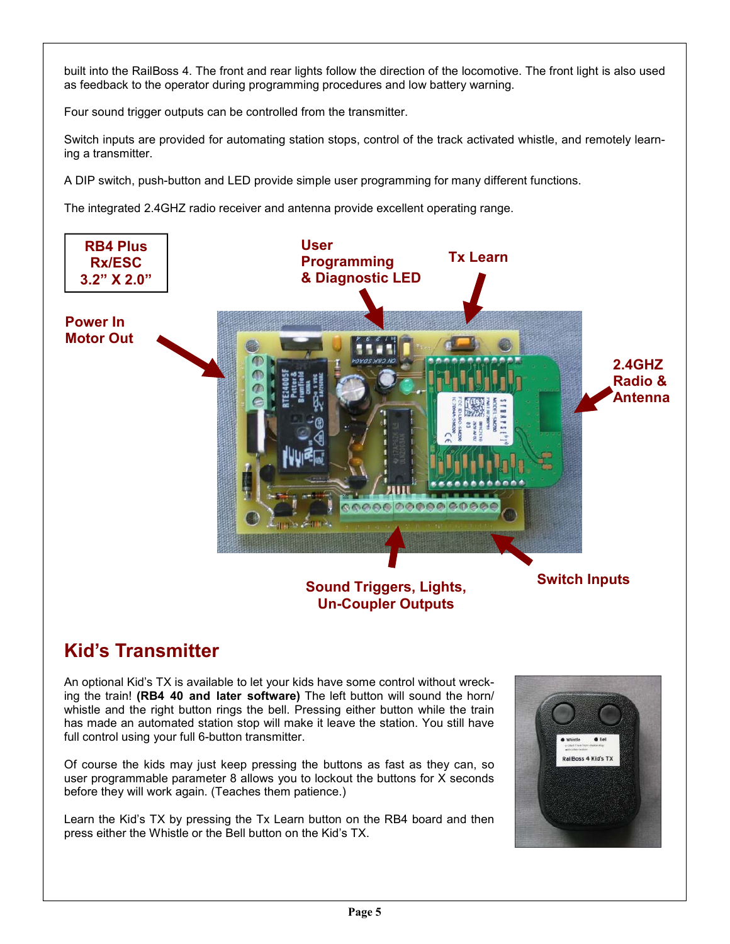built into the RailBoss 4. The front and rear lights follow the direction of the locomotive. The front light is also used as feedback to the operator during programming procedures and low battery warning.

Four sound trigger outputs can be controlled from the transmitter.

Switch inputs are provided for automating station stops, control of the track activated whistle, and remotely learning a transmitter.

A DIP switch, push-button and LED provide simple user programming for many different functions.

The integrated 2.4GHZ radio receiver and antenna provide excellent operating range.



# **Kid's Transmitter**

An optional Kid's TX is available to let your kids have some control without wrecking the train! **(RB4 40 and later software)** The left button will sound the horn/ whistle and the right button rings the bell. Pressing either button while the train has made an automated station stop will make it leave the station. You still have full control using your full 6-button transmitter.

Of course the kids may just keep pressing the buttons as fast as they can, so user programmable parameter 8 allows you to lockout the buttons for X seconds before they will work again. (Teaches them patience.)

Learn the Kid's TX by pressing the Tx Learn button on the RB4 board and then press either the Whistle or the Bell button on the Kid's TX.

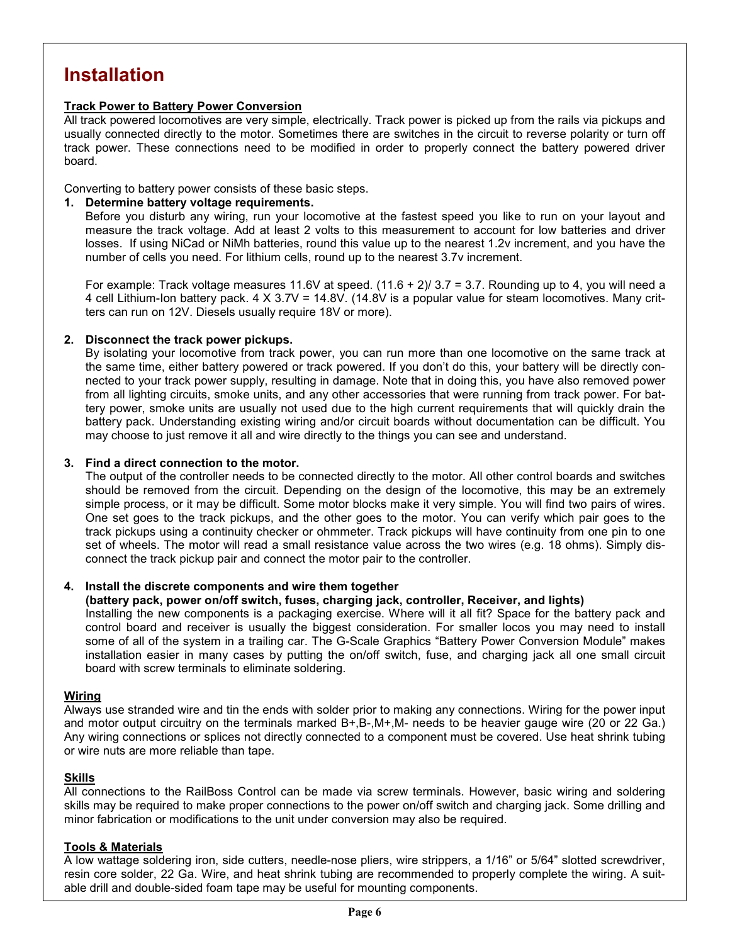# **Installation**

### **Track Power to Battery Power Conversion**

All track powered locomotives are very simple, electrically. Track power is picked up from the rails via pickups and usually connected directly to the motor. Sometimes there are switches in the circuit to reverse polarity or turn off track power. These connections need to be modified in order to properly connect the battery powered driver board.

Converting to battery power consists of these basic steps.

### **1. Determine battery voltage requirements.**

Before you disturb any wiring, run your locomotive at the fastest speed you like to run on your layout and measure the track voltage. Add at least 2 volts to this measurement to account for low batteries and driver losses. If using NiCad or NiMh batteries, round this value up to the nearest 1.2v increment, and you have the number of cells you need. For lithium cells, round up to the nearest 3.7v increment.

For example: Track voltage measures 11.6V at speed.  $(11.6 + 2)/3.7 = 3.7$ . Rounding up to 4, you will need a 4 cell Lithium-Ion battery pack. 4 X 3.7V = 14.8V. (14.8V is a popular value for steam locomotives. Many critters can run on 12V. Diesels usually require 18V or more).

### **2. Disconnect the track power pickups.**

By isolating your locomotive from track power, you can run more than one locomotive on the same track at the same time, either battery powered or track powered. If you don't do this, your battery will be directly connected to your track power supply, resulting in damage. Note that in doing this, you have also removed power from all lighting circuits, smoke units, and any other accessories that were running from track power. For battery power, smoke units are usually not used due to the high current requirements that will quickly drain the battery pack. Understanding existing wiring and/or circuit boards without documentation can be difficult. You may choose to just remove it all and wire directly to the things you can see and understand.

### **3. Find a direct connection to the motor.**

The output of the controller needs to be connected directly to the motor. All other control boards and switches should be removed from the circuit. Depending on the design of the locomotive, this may be an extremely simple process, or it may be difficult. Some motor blocks make it very simple. You will find two pairs of wires. One set goes to the track pickups, and the other goes to the motor. You can verify which pair goes to the track pickups using a continuity checker or ohmmeter. Track pickups will have continuity from one pin to one set of wheels. The motor will read a small resistance value across the two wires (e.g. 18 ohms). Simply disconnect the track pickup pair and connect the motor pair to the controller.

### **4. Install the discrete components and wire them together**

### **(battery pack, power on/off switch, fuses, charging jack, controller, Receiver, and lights)**

Installing the new components is a packaging exercise. Where will it all fit? Space for the battery pack and control board and receiver is usually the biggest consideration. For smaller locos you may need to install some of all of the system in a trailing car. The G-Scale Graphics "Battery Power Conversion Module" makes installation easier in many cases by putting the on/off switch, fuse, and charging jack all one small circuit board with screw terminals to eliminate soldering.

### **Wiring**

Always use stranded wire and tin the ends with solder prior to making any connections. Wiring for the power input and motor output circuitry on the terminals marked B+,B-,M+,M- needs to be heavier gauge wire (20 or 22 Ga.) Any wiring connections or splices not directly connected to a component must be covered. Use heat shrink tubing or wire nuts are more reliable than tape.

### **Skills**

All connections to the RailBoss Control can be made via screw terminals. However, basic wiring and soldering skills may be required to make proper connections to the power on/off switch and charging jack. Some drilling and minor fabrication or modifications to the unit under conversion may also be required.

### **Tools & Materials**

A low wattage soldering iron, side cutters, needle-nose pliers, wire strippers, a 1/16" or 5/64" slotted screwdriver, resin core solder, 22 Ga. Wire, and heat shrink tubing are recommended to properly complete the wiring. A suitable drill and double-sided foam tape may be useful for mounting components.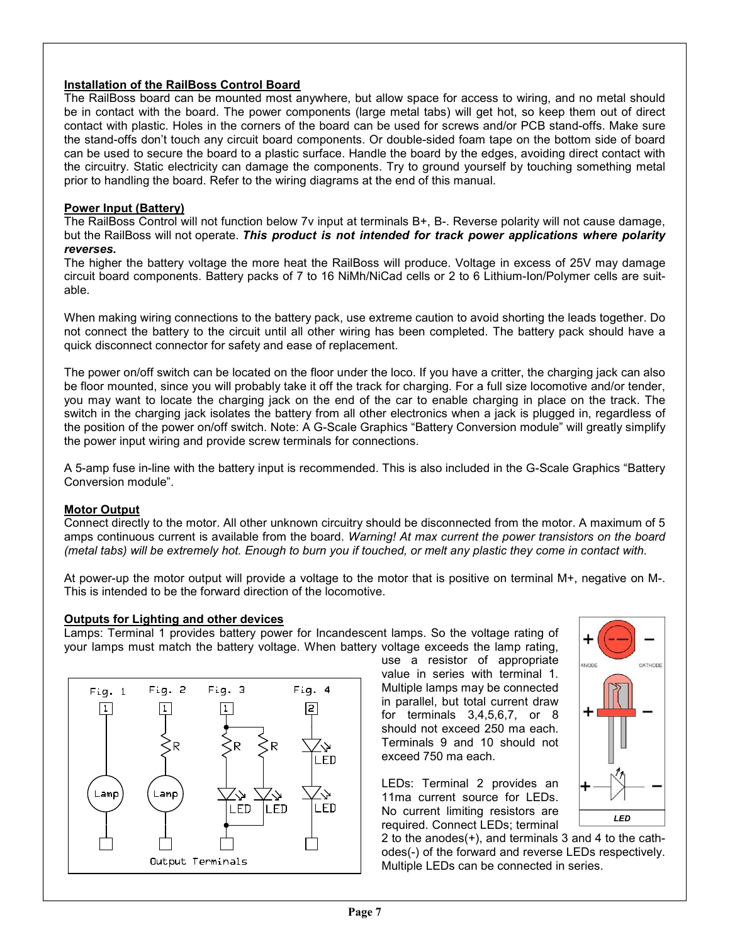### **Installation of the RailBoss Control Board**

The RailBoss board can be mounted most anywhere, but allow space for access to wiring, and no metal should be in contact with the board. The power components (large metal tabs) will get hot, so keep them out of direct contact with plastic. Holes in the corners of the board can be used for screws and/or PCB stand-offs. Make sure the stand-offs don't touch any circuit board components. Or double-sided foam tape on the bottom side of board can be used to secure the board to a plastic surface. Handle the board by the edges, avoiding direct contact with the circuitry. Static electricity can damage the components. Try to ground yourself by touching something metal prior to handling the board. Refer to the wiring diagrams at the end of this manual.

### **Power Input (Battery)**

The RailBoss Control will not function below 7v input at terminals B+, B-. Reverse polarity will not cause damage, but the RailBoss will not operate. *This product is not intended for track power applications where polarity reverses.* 

The higher the battery voltage the more heat the RailBoss will produce. Voltage in excess of 25V may damage circuit board components. Battery packs of 7 to 16 NiMh/NiCad cells or 2 to 6 Lithium-Ion/Polymer cells are suitable.

When making wiring connections to the battery pack, use extreme caution to avoid shorting the leads together. Do not connect the battery to the circuit until all other wiring has been completed. The battery pack should have a quick disconnect connector for safety and ease of replacement.

The power on/off switch can be located on the floor under the loco. If you have a critter, the charging jack can also be floor mounted, since you will probably take it off the track for charging. For a full size locomotive and/or tender, you may want to locate the charging jack on the end of the car to enable charging in place on the track. The switch in the charging jack isolates the battery from all other electronics when a jack is plugged in, regardless of the position of the power on/off switch. Note: A G-Scale Graphics "Battery Conversion module" will greatly simplify the power input wiring and provide screw terminals for connections.

A 5-amp fuse in-line with the battery input is recommended. This is also included in the G-Scale Graphics "Battery Conversion module".

### **Motor Output**

Connect directly to the motor. All other unknown circuitry should be disconnected from the motor. A maximum of 5 amps continuous current is available from the board. *Warning! At max current the power transistors on the board (metal tabs) will be extremely hot. Enough to burn you if touched, or melt any plastic they come in contact with.* 

At power-up the motor output will provide a voltage to the motor that is positive on terminal M+, negative on M-. This is intended to be the forward direction of the locomotive.

### **Outputs for Lighting and other devices**

Lamps: Terminal 1 provides battery power for Incandescent lamps. So the voltage rating of your lamps must match the battery voltage. When battery voltage exceeds the lamp rating,



use a resistor of appropriate value in series with terminal 1. Multiple lamps may be connected in parallel, but total current draw for terminals 3,4,5,6,7, or 8 should not exceed 250 ma each. Terminals 9 and 10 should not exceed 750 ma each.

LEDs: Terminal 2 provides an 11ma current source for LEDs. No current limiting resistors are required. Connect LEDs; terminal



2 to the anodes(+), and terminals 3 and 4 to the cathodes(-) of the forward and reverse LEDs respectively. Multiple LEDs can be connected in series.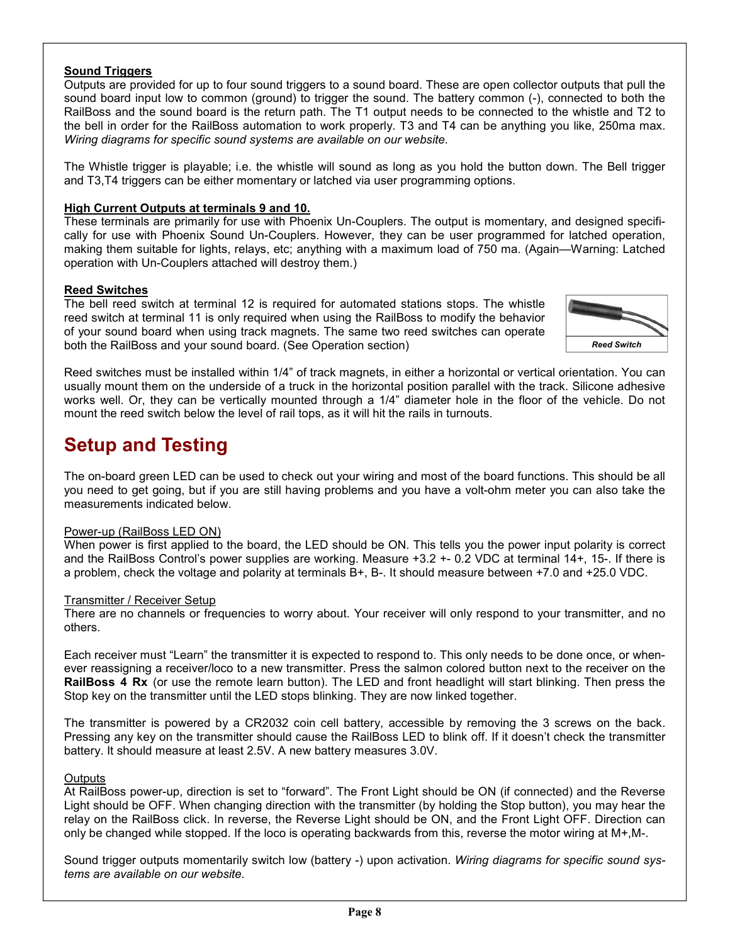### **Sound Triggers**

Outputs are provided for up to four sound triggers to a sound board. These are open collector outputs that pull the sound board input low to common (ground) to trigger the sound. The battery common (-), connected to both the RailBoss and the sound board is the return path. The T1 output needs to be connected to the whistle and T2 to the bell in order for the RailBoss automation to work properly. T3 and T4 can be anything you like, 250ma max. *Wiring diagrams for specific sound systems are available on our website.* 

The Whistle trigger is playable; i.e. the whistle will sound as long as you hold the button down. The Bell trigger and T3,T4 triggers can be either momentary or latched via user programming options.

### **High Current Outputs at terminals 9 and 10.**

These terminals are primarily for use with Phoenix Un-Couplers. The output is momentary, and designed specifically for use with Phoenix Sound Un-Couplers. However, they can be user programmed for latched operation, making them suitable for lights, relays, etc; anything with a maximum load of 750 ma. (Again—Warning: Latched operation with Un-Couplers attached will destroy them.)

### **Reed Switches**

The bell reed switch at terminal 12 is required for automated stations stops. The whistle reed switch at terminal 11 is only required when using the RailBoss to modify the behavior of your sound board when using track magnets. The same two reed switches can operate both the RailBoss and your sound board. (See Operation section)



Reed switches must be installed within 1/4" of track magnets, in either a horizontal or vertical orientation. You can usually mount them on the underside of a truck in the horizontal position parallel with the track. Silicone adhesive works well. Or, they can be vertically mounted through a 1/4" diameter hole in the floor of the vehicle. Do not mount the reed switch below the level of rail tops, as it will hit the rails in turnouts.

# **Setup and Testing**

The on-board green LED can be used to check out your wiring and most of the board functions. This should be all you need to get going, but if you are still having problems and you have a volt-ohm meter you can also take the measurements indicated below.

### Power-up (RailBoss LED ON)

When power is first applied to the board, the LED should be ON. This tells you the power input polarity is correct and the RailBoss Control's power supplies are working. Measure +3.2 +- 0.2 VDC at terminal 14+, 15-. If there is a problem, check the voltage and polarity at terminals B+, B-. It should measure between +7.0 and +25.0 VDC.

### Transmitter / Receiver Setup

There are no channels or frequencies to worry about. Your receiver will only respond to your transmitter, and no others.

Each receiver must "Learn" the transmitter it is expected to respond to. This only needs to be done once, or whenever reassigning a receiver/loco to a new transmitter. Press the salmon colored button next to the receiver on the **RailBoss 4 Rx** (or use the remote learn button). The LED and front headlight will start blinking. Then press the Stop key on the transmitter until the LED stops blinking. They are now linked together.

The transmitter is powered by a CR2032 coin cell battery, accessible by removing the 3 screws on the back. Pressing any key on the transmitter should cause the RailBoss LED to blink off. If it doesn't check the transmitter battery. It should measure at least 2.5V. A new battery measures 3.0V.

### **Outputs**

At RailBoss power-up, direction is set to "forward". The Front Light should be ON (if connected) and the Reverse Light should be OFF. When changing direction with the transmitter (by holding the Stop button), you may hear the relay on the RailBoss click. In reverse, the Reverse Light should be ON, and the Front Light OFF. Direction can only be changed while stopped. If the loco is operating backwards from this, reverse the motor wiring at M+,M-.

Sound trigger outputs momentarily switch low (battery -) upon activation. *Wiring diagrams for specific sound systems are available on our website.*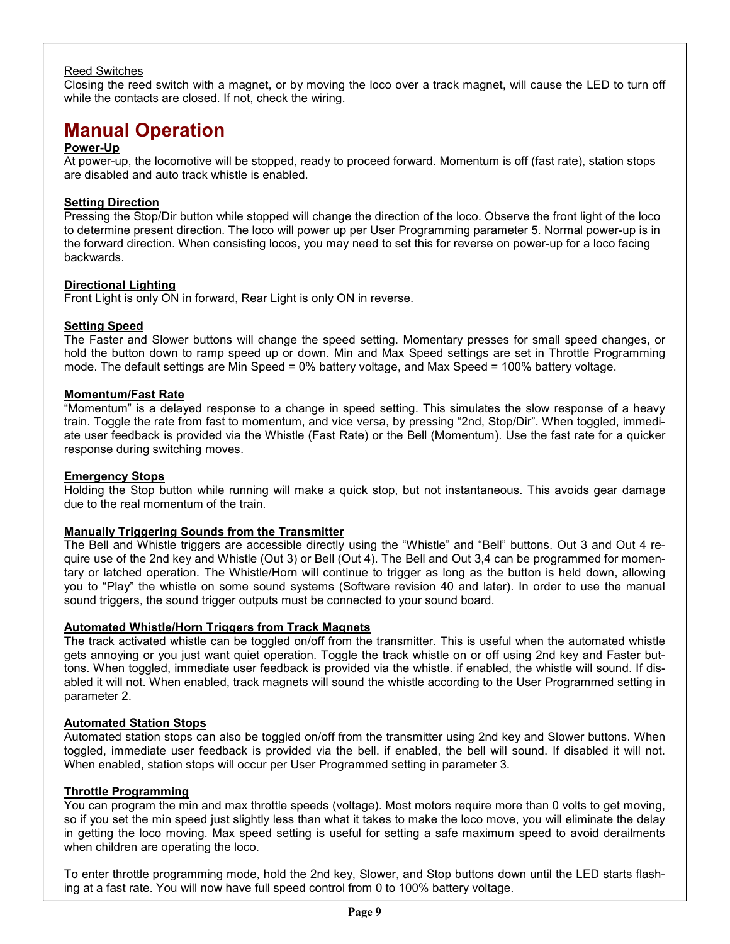### Reed Switches

Closing the reed switch with a magnet, or by moving the loco over a track magnet, will cause the LED to turn off while the contacts are closed. If not, check the wiring.

# **Manual Operation**

### **Power-Up**

At power-up, the locomotive will be stopped, ready to proceed forward. Momentum is off (fast rate), station stops are disabled and auto track whistle is enabled.

### **Setting Direction**

Pressing the Stop/Dir button while stopped will change the direction of the loco. Observe the front light of the loco to determine present direction. The loco will power up per User Programming parameter 5. Normal power-up is in the forward direction. When consisting locos, you may need to set this for reverse on power-up for a loco facing backwards.

### **Directional Lighting**

Front Light is only ON in forward, Rear Light is only ON in reverse.

### **Setting Speed**

The Faster and Slower buttons will change the speed setting. Momentary presses for small speed changes, or hold the button down to ramp speed up or down. Min and Max Speed settings are set in Throttle Programming mode. The default settings are Min Speed = 0% battery voltage, and Max Speed = 100% battery voltage.

### **Momentum/Fast Rate**

"Momentum" is a delayed response to a change in speed setting. This simulates the slow response of a heavy train. Toggle the rate from fast to momentum, and vice versa, by pressing "2nd, Stop/Dir". When toggled, immediate user feedback is provided via the Whistle (Fast Rate) or the Bell (Momentum). Use the fast rate for a quicker response during switching moves.

### **Emergency Stops**

Holding the Stop button while running will make a quick stop, but not instantaneous. This avoids gear damage due to the real momentum of the train.

### **Manually Triggering Sounds from the Transmitter**

The Bell and Whistle triggers are accessible directly using the "Whistle" and "Bell" buttons. Out 3 and Out 4 require use of the 2nd key and Whistle (Out 3) or Bell (Out 4). The Bell and Out 3,4 can be programmed for momentary or latched operation. The Whistle/Horn will continue to trigger as long as the button is held down, allowing you to "Play" the whistle on some sound systems (Software revision 40 and later). In order to use the manual sound triggers, the sound trigger outputs must be connected to your sound board.

### **Automated Whistle/Horn Triggers from Track Magnets**

The track activated whistle can be toggled on/off from the transmitter. This is useful when the automated whistle gets annoying or you just want quiet operation. Toggle the track whistle on or off using 2nd key and Faster buttons. When toggled, immediate user feedback is provided via the whistle. if enabled, the whistle will sound. If disabled it will not. When enabled, track magnets will sound the whistle according to the User Programmed setting in parameter 2.

### **Automated Station Stops**

Automated station stops can also be toggled on/off from the transmitter using 2nd key and Slower buttons. When toggled, immediate user feedback is provided via the bell. if enabled, the bell will sound. If disabled it will not. When enabled, station stops will occur per User Programmed setting in parameter 3.

### **Throttle Programming**

You can program the min and max throttle speeds (voltage). Most motors require more than 0 volts to get moving, so if you set the min speed just slightly less than what it takes to make the loco move, you will eliminate the delay in getting the loco moving. Max speed setting is useful for setting a safe maximum speed to avoid derailments when children are operating the loco.

To enter throttle programming mode, hold the 2nd key, Slower, and Stop buttons down until the LED starts flashing at a fast rate. You will now have full speed control from 0 to 100% battery voltage.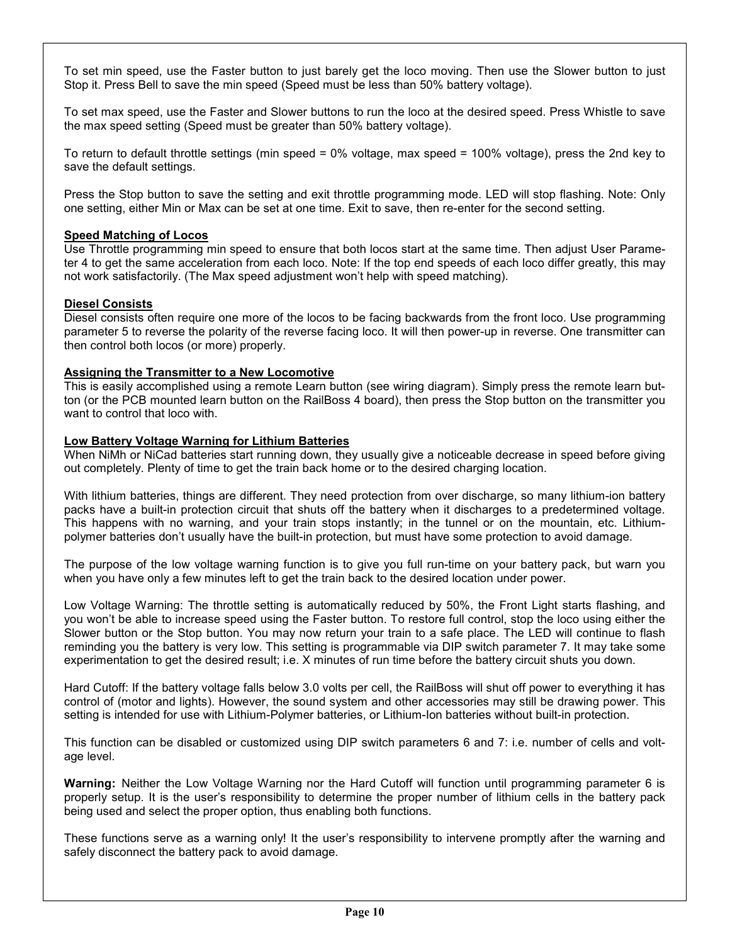To set min speed, use the Faster button to just barely get the loco moving. Then use the Slower button to just Stop it. Press Bell to save the min speed (Speed must be less than 50% battery voltage).

To set max speed, use the Faster and Slower buttons to run the loco at the desired speed. Press Whistle to save the max speed setting (Speed must be greater than 50% battery voltage).

To return to default throttle settings (min speed = 0% voltage, max speed = 100% voltage), press the 2nd key to save the default settings.

Press the Stop button to save the setting and exit throttle programming mode. LED will stop flashing. Note: Only one setting, either Min or Max can be set at one time. Exit to save, then re-enter for the second setting.

### **Speed Matching of Locos**

Use Throttle programming min speed to ensure that both locos start at the same time. Then adjust User Parameter 4 to get the same acceleration from each loco. Note: If the top end speeds of each loco differ greatly, this may not work satisfactorily. (The Max speed adjustment won't help with speed matching).

### **Diesel Consists**

Diesel consists often require one more of the locos to be facing backwards from the front loco. Use programming parameter 5 to reverse the polarity of the reverse facing loco. It will then power-up in reverse. One transmitter can then control both locos (or more) properly.

### **Assigning the Transmitter to a New Locomotive**

This is easily accomplished using a remote Learn button (see wiring diagram). Simply press the remote learn button (or the PCB mounted learn button on the RailBoss 4 board), then press the Stop button on the transmitter you want to control that loco with.

### **Low Battery Voltage Warning for Lithium Batteries**

When NiMh or NiCad batteries start running down, they usually give a noticeable decrease in speed before giving out completely. Plenty of time to get the train back home or to the desired charging location.

With lithium batteries, things are different. They need protection from over discharge, so many lithium-ion battery packs have a built-in protection circuit that shuts off the battery when it discharges to a predetermined voltage. This happens with no warning, and your train stops instantly; in the tunnel or on the mountain, etc. Lithiumpolymer batteries don't usually have the built-in protection, but must have some protection to avoid damage.

The purpose of the low voltage warning function is to give you full run-time on your battery pack, but warn you when you have only a few minutes left to get the train back to the desired location under power.

Low Voltage Warning: The throttle setting is automatically reduced by 50%, the Front Light starts flashing, and you won't be able to increase speed using the Faster button. To restore full control, stop the loco using either the Slower button or the Stop button. You may now return your train to a safe place. The LED will continue to flash reminding you the battery is very low. This setting is programmable via DIP switch parameter 7. It may take some experimentation to get the desired result; i.e. X minutes of run time before the battery circuit shuts you down.

Hard Cutoff: If the battery voltage falls below 3.0 volts per cell, the RailBoss will shut off power to everything it has control of (motor and lights). However, the sound system and other accessories may still be drawing power. This setting is intended for use with Lithium-Polymer batteries, or Lithium-Ion batteries without built-in protection.

This function can be disabled or customized using DIP switch parameters 6 and 7: i.e. number of cells and voltage level.

**Warning:** Neither the Low Voltage Warning nor the Hard Cutoff will function until programming parameter 6 is properly setup. It is the user's responsibility to determine the proper number of lithium cells in the battery pack being used and select the proper option, thus enabling both functions.

These functions serve as a warning only! It the user's responsibility to intervene promptly after the warning and safely disconnect the battery pack to avoid damage.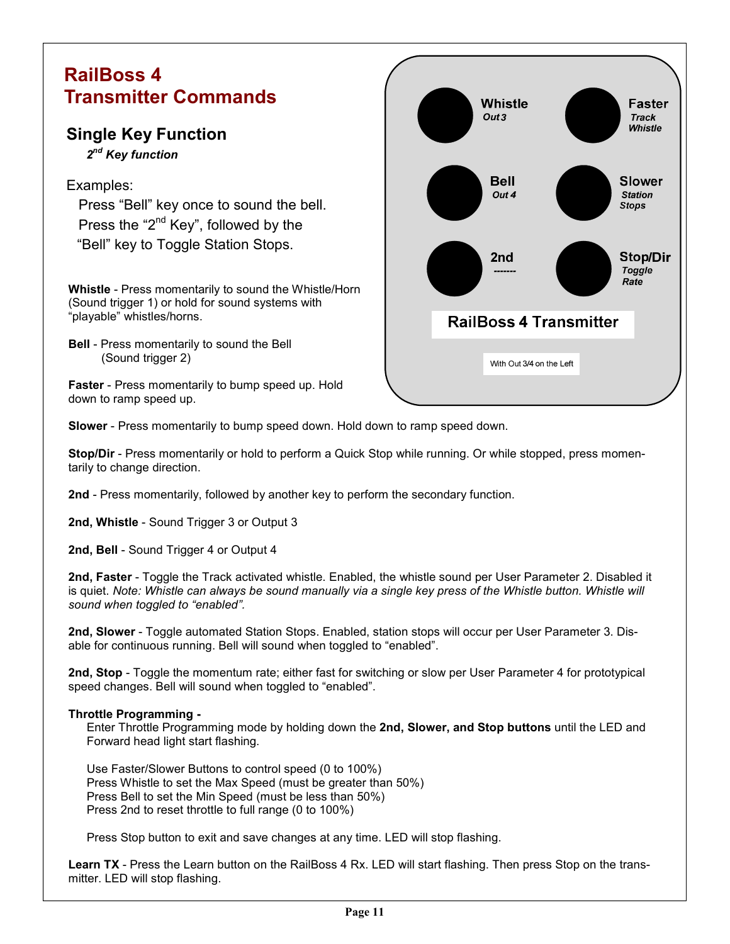# **RailBoss 4 Transmitter Commands**

# **Single Key Function**

 *2nd Key function* 

### Examples:

 Press "Bell" key once to sound the bell. Press the "2<sup>nd</sup> Key", followed by the "Bell" key to Toggle Station Stops.

**Whistle** - Press momentarily to sound the Whistle/Horn (Sound trigger 1) or hold for sound systems with "playable" whistles/horns.

**Bell** - Press momentarily to sound the Bell (Sound trigger 2)

**Faster** - Press momentarily to bump speed up. Hold down to ramp speed up.



**Slower** - Press momentarily to bump speed down. Hold down to ramp speed down.

**Stop/Dir** - Press momentarily or hold to perform a Quick Stop while running. Or while stopped, press momentarily to change direction.

**2nd** - Press momentarily, followed by another key to perform the secondary function.

**2nd, Whistle** - Sound Trigger 3 or Output 3

**2nd, Bell** - Sound Trigger 4 or Output 4

**2nd, Faster** - Toggle the Track activated whistle. Enabled, the whistle sound per User Parameter 2. Disabled it is quiet. Note: Whistle can always be sound manually via a single key press of the Whistle button. Whistle will *sound when toggled to "enabled".* 

**2nd, Slower** - Toggle automated Station Stops. Enabled, station stops will occur per User Parameter 3. Disable for continuous running. Bell will sound when toggled to "enabled".

**2nd, Stop** - Toggle the momentum rate; either fast for switching or slow per User Parameter 4 for prototypical speed changes. Bell will sound when toggled to "enabled".

### **Throttle Programming -**

 Enter Throttle Programming mode by holding down the **2nd, Slower, and Stop buttons** until the LED and Forward head light start flashing.

 Use Faster/Slower Buttons to control speed (0 to 100%) Press Whistle to set the Max Speed (must be greater than 50%) Press Bell to set the Min Speed (must be less than 50%) Press 2nd to reset throttle to full range (0 to 100%)

Press Stop button to exit and save changes at any time. LED will stop flashing.

**Learn TX** - Press the Learn button on the RailBoss 4 Rx. LED will start flashing. Then press Stop on the transmitter. LED will stop flashing.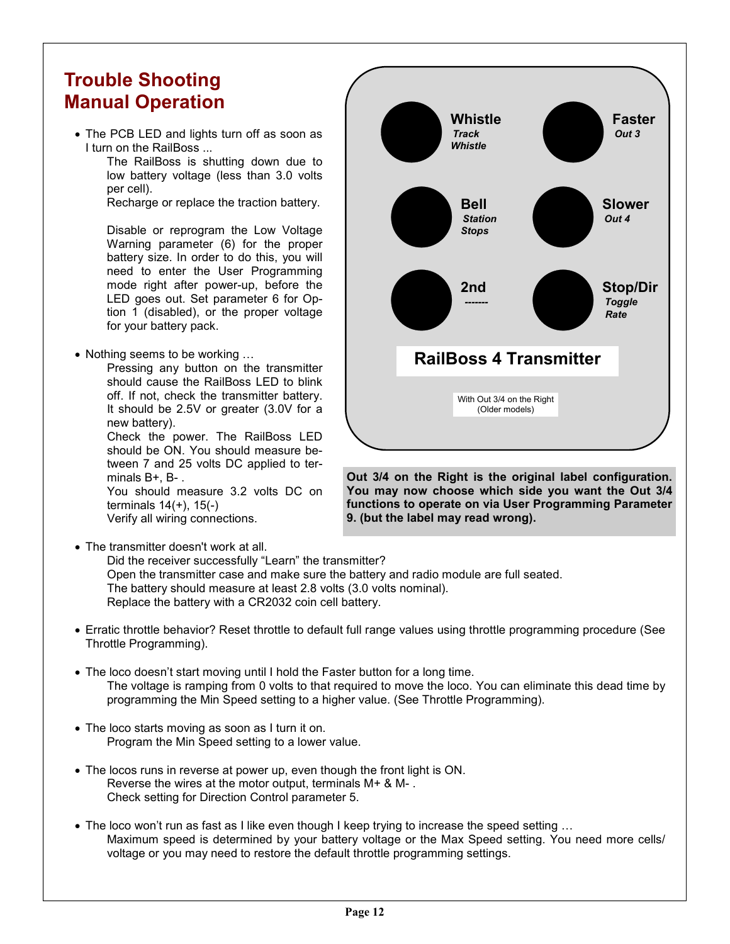# **Trouble Shooting Manual Operation**

• The PCB LED and lights turn off as soon as I turn on the RailBoss ...

The RailBoss is shutting down due to low battery voltage (less than 3.0 volts per cell).

Recharge or replace the traction battery.

Disable or reprogram the Low Voltage Warning parameter (6) for the proper battery size. In order to do this, you will need to enter the User Programming mode right after power-up, before the LED goes out. Set parameter 6 for Option 1 (disabled), or the proper voltage for your battery pack.

• Nothing seems to be working ...

 Pressing any button on the transmitter should cause the RailBoss LED to blink off. If not, check the transmitter battery. It should be 2.5V or greater (3.0V for a new battery).

 Check the power. The RailBoss LED should be ON. You should measure between 7 and 25 volts DC applied to terminals B+, B- .

You should measure 3.2 volts DC on terminals 14(+), 15(-) Verify all wiring connections.

• The transmitter doesn't work at all.

 Did the receiver successfully "Learn" the transmitter? Open the transmitter case and make sure the battery and radio module are full seated. The battery should measure at least 2.8 volts (3.0 volts nominal). Replace the battery with a CR2032 coin cell battery.

- Erratic throttle behavior? Reset throttle to default full range values using throttle programming procedure (See Throttle Programming).
- The loco doesn't start moving until I hold the Faster button for a long time. The voltage is ramping from 0 volts to that required to move the loco. You can eliminate this dead time by programming the Min Speed setting to a higher value. (See Throttle Programming).
- The loco starts moving as soon as I turn it on. Program the Min Speed setting to a lower value.
- The locos runs in reverse at power up, even though the front light is ON. Reverse the wires at the motor output, terminals M+ & M- . Check setting for Direction Control parameter 5.
- The loco won't run as fast as I like even though I keep trying to increase the speed setting ... Maximum speed is determined by your battery voltage or the Max Speed setting. You need more cells/ voltage or you may need to restore the default throttle programming settings.



**Out 3/4 on the Right is the original label configuration. You may now choose which side you want the Out 3/4 functions to operate on via User Programming Parameter 9. (but the label may read wrong).**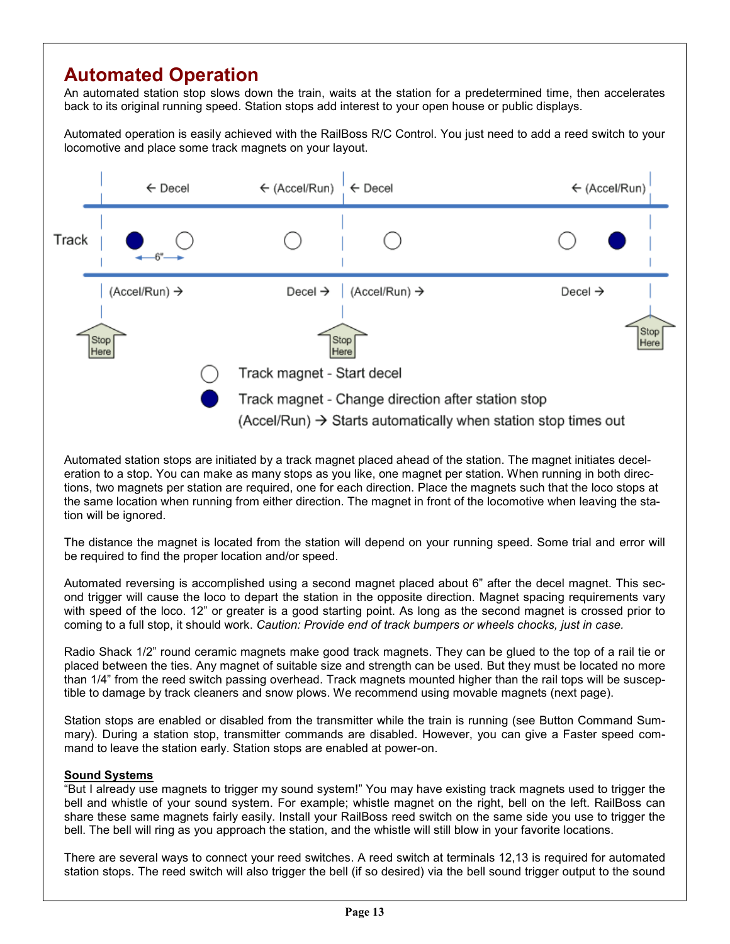# **Automated Operation**

An automated station stop slows down the train, waits at the station for a predetermined time, then accelerates back to its original running speed. Station stops add interest to your open house or public displays.

Automated operation is easily achieved with the RailBoss R/C Control. You just need to add a reed switch to your locomotive and place some track magnets on your layout.



Automated station stops are initiated by a track magnet placed ahead of the station. The magnet initiates deceleration to a stop. You can make as many stops as you like, one magnet per station. When running in both directions, two magnets per station are required, one for each direction. Place the magnets such that the loco stops at the same location when running from either direction. The magnet in front of the locomotive when leaving the station will be ignored.

The distance the magnet is located from the station will depend on your running speed. Some trial and error will be required to find the proper location and/or speed.

Automated reversing is accomplished using a second magnet placed about 6" after the decel magnet. This second trigger will cause the loco to depart the station in the opposite direction. Magnet spacing requirements vary with speed of the loco. 12" or greater is a good starting point. As long as the second magnet is crossed prior to coming to a full stop, it should work. *Caution: Provide end of track bumpers or wheels chocks, just in case.* 

Radio Shack 1/2" round ceramic magnets make good track magnets. They can be glued to the top of a rail tie or placed between the ties. Any magnet of suitable size and strength can be used. But they must be located no more than 1/4" from the reed switch passing overhead. Track magnets mounted higher than the rail tops will be susceptible to damage by track cleaners and snow plows. We recommend using movable magnets (next page).

Station stops are enabled or disabled from the transmitter while the train is running (see Button Command Summary). During a station stop, transmitter commands are disabled. However, you can give a Faster speed command to leave the station early. Station stops are enabled at power-on.

### **Sound Systems**

"But I already use magnets to trigger my sound system!" You may have existing track magnets used to trigger the bell and whistle of your sound system. For example; whistle magnet on the right, bell on the left. RailBoss can share these same magnets fairly easily. Install your RailBoss reed switch on the same side you use to trigger the bell. The bell will ring as you approach the station, and the whistle will still blow in your favorite locations.

There are several ways to connect your reed switches. A reed switch at terminals 12,13 is required for automated station stops. The reed switch will also trigger the bell (if so desired) via the bell sound trigger output to the sound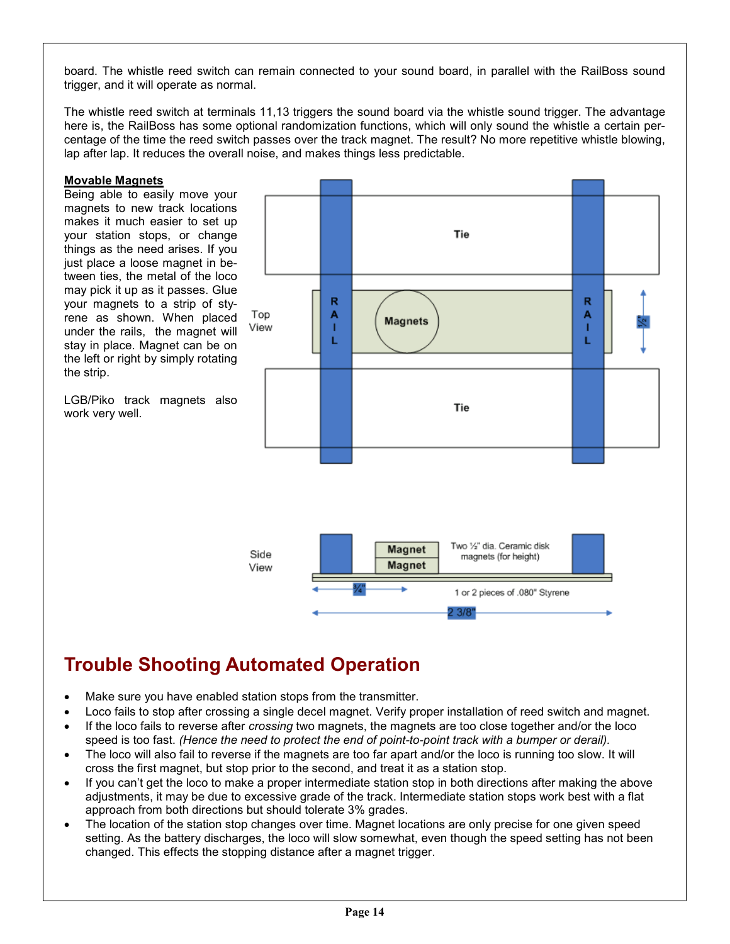board. The whistle reed switch can remain connected to your sound board, in parallel with the RailBoss sound trigger, and it will operate as normal.

The whistle reed switch at terminals 11,13 triggers the sound board via the whistle sound trigger. The advantage here is, the RailBoss has some optional randomization functions, which will only sound the whistle a certain percentage of the time the reed switch passes over the track magnet. The result? No more repetitive whistle blowing, lap after lap. It reduces the overall noise, and makes things less predictable.

### **Movable Magnets**

Being able to easily move your magnets to new track locations makes it much easier to set up your station stops, or change things as the need arises. If you just place a loose magnet in between ties, the metal of the loco may pick it up as it passes. Glue your magnets to a strip of styrene as shown. When placed under the rails, the magnet will stay in place. Magnet can be on the left or right by simply rotating the strip.

LGB/Piko track magnets also work very well.



# **Trouble Shooting Automated Operation**

- Make sure you have enabled station stops from the transmitter.
- Loco fails to stop after crossing a single decel magnet. Verify proper installation of reed switch and magnet.
- If the loco fails to reverse after *crossing* two magnets, the magnets are too close together and/or the loco speed is too fast. *(Hence the need to protect the end of point-to-point track with a bumper or derail).*
- The loco will also fail to reverse if the magnets are too far apart and/or the loco is running too slow. It will cross the first magnet, but stop prior to the second, and treat it as a station stop.
- If you can't get the loco to make a proper intermediate station stop in both directions after making the above adjustments, it may be due to excessive grade of the track. Intermediate station stops work best with a flat approach from both directions but should tolerate 3% grades.
- The location of the station stop changes over time. Magnet locations are only precise for one given speed setting. As the battery discharges, the loco will slow somewhat, even though the speed setting has not been changed. This effects the stopping distance after a magnet trigger.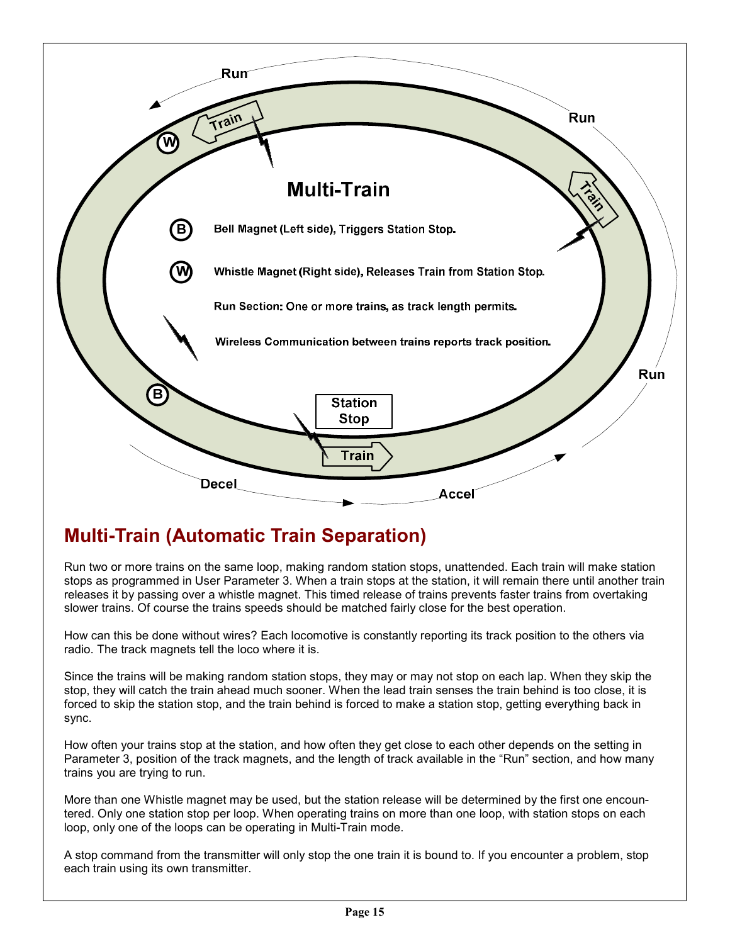

# **Multi-Train (Automatic Train Separation)**

Run two or more trains on the same loop, making random station stops, unattended. Each train will make station stops as programmed in User Parameter 3. When a train stops at the station, it will remain there until another train releases it by passing over a whistle magnet. This timed release of trains prevents faster trains from overtaking slower trains. Of course the trains speeds should be matched fairly close for the best operation.

How can this be done without wires? Each locomotive is constantly reporting its track position to the others via radio. The track magnets tell the loco where it is.

Since the trains will be making random station stops, they may or may not stop on each lap. When they skip the stop, they will catch the train ahead much sooner. When the lead train senses the train behind is too close, it is forced to skip the station stop, and the train behind is forced to make a station stop, getting everything back in sync.

How often your trains stop at the station, and how often they get close to each other depends on the setting in Parameter 3, position of the track magnets, and the length of track available in the "Run" section, and how many trains you are trying to run.

More than one Whistle magnet may be used, but the station release will be determined by the first one encountered. Only one station stop per loop. When operating trains on more than one loop, with station stops on each loop, only one of the loops can be operating in Multi-Train mode.

A stop command from the transmitter will only stop the one train it is bound to. If you encounter a problem, stop each train using its own transmitter.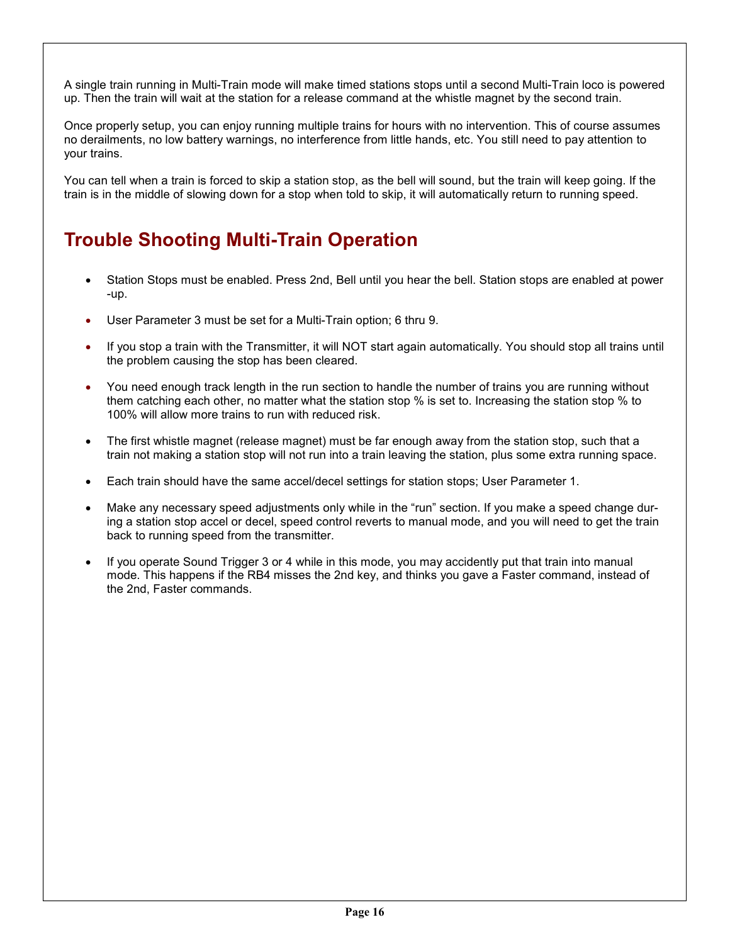A single train running in Multi-Train mode will make timed stations stops until a second Multi-Train loco is powered up. Then the train will wait at the station for a release command at the whistle magnet by the second train.

Once properly setup, you can enjoy running multiple trains for hours with no intervention. This of course assumes no derailments, no low battery warnings, no interference from little hands, etc. You still need to pay attention to your trains.

You can tell when a train is forced to skip a station stop, as the bell will sound, but the train will keep going. If the train is in the middle of slowing down for a stop when told to skip, it will automatically return to running speed.

# **Trouble Shooting Multi-Train Operation**

- Station Stops must be enabled. Press 2nd, Bell until you hear the bell. Station stops are enabled at power -up.
- User Parameter 3 must be set for a Multi-Train option; 6 thru 9.
- If you stop a train with the Transmitter, it will NOT start again automatically. You should stop all trains until the problem causing the stop has been cleared.
- You need enough track length in the run section to handle the number of trains you are running without them catching each other, no matter what the station stop % is set to. Increasing the station stop % to 100% will allow more trains to run with reduced risk.
- The first whistle magnet (release magnet) must be far enough away from the station stop, such that a train not making a station stop will not run into a train leaving the station, plus some extra running space.
- Each train should have the same accel/decel settings for station stops; User Parameter 1.
- Make any necessary speed adjustments only while in the "run" section. If you make a speed change during a station stop accel or decel, speed control reverts to manual mode, and you will need to get the train back to running speed from the transmitter.
- If you operate Sound Trigger 3 or 4 while in this mode, you may accidently put that train into manual mode. This happens if the RB4 misses the 2nd key, and thinks you gave a Faster command, instead of the 2nd, Faster commands.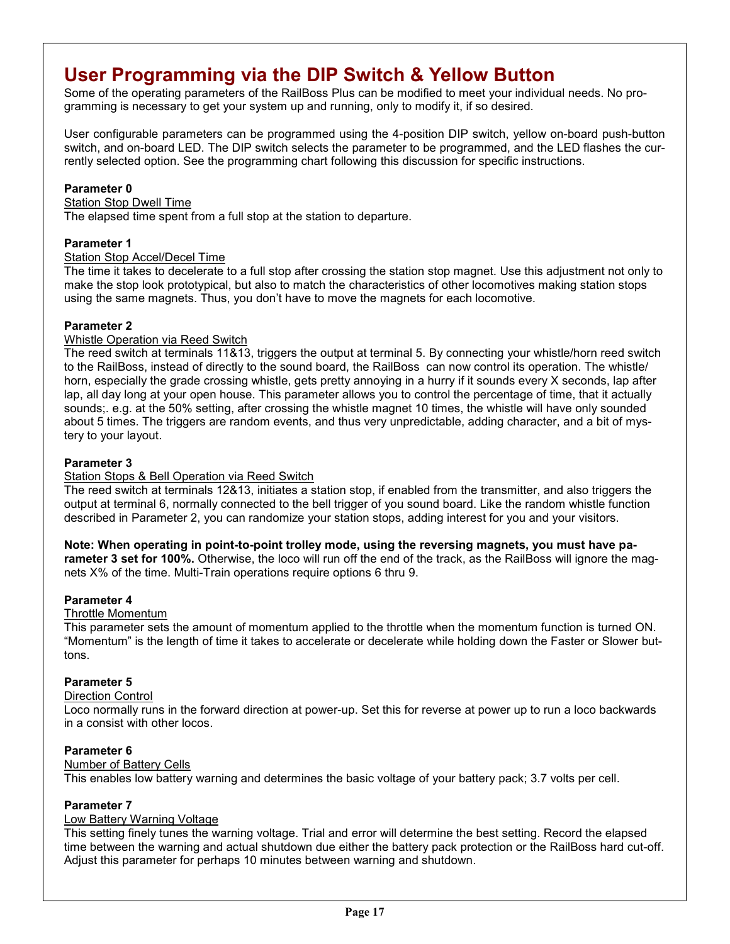# **User Programming via the DIP Switch & Yellow Button**

Some of the operating parameters of the RailBoss Plus can be modified to meet your individual needs. No programming is necessary to get your system up and running, only to modify it, if so desired.

User configurable parameters can be programmed using the 4-position DIP switch, yellow on-board push-button switch, and on-board LED. The DIP switch selects the parameter to be programmed, and the LED flashes the currently selected option. See the programming chart following this discussion for specific instructions.

### **Parameter 0**

### Station Stop Dwell Time

The elapsed time spent from a full stop at the station to departure.

### **Parameter 1**

### Station Stop Accel/Decel Time

The time it takes to decelerate to a full stop after crossing the station stop magnet. Use this adjustment not only to make the stop look prototypical, but also to match the characteristics of other locomotives making station stops using the same magnets. Thus, you don't have to move the magnets for each locomotive.

### **Parameter 2**

### Whistle Operation via Reed Switch

The reed switch at terminals 11&13, triggers the output at terminal 5. By connecting your whistle/horn reed switch to the RailBoss, instead of directly to the sound board, the RailBoss can now control its operation. The whistle/ horn, especially the grade crossing whistle, gets pretty annoying in a hurry if it sounds every X seconds, lap after lap, all day long at your open house. This parameter allows you to control the percentage of time, that it actually sounds;. e.g. at the 50% setting, after crossing the whistle magnet 10 times, the whistle will have only sounded about 5 times. The triggers are random events, and thus very unpredictable, adding character, and a bit of mystery to your layout.

### **Parameter 3**

### Station Stops & Bell Operation via Reed Switch

The reed switch at terminals 12&13, initiates a station stop, if enabled from the transmitter, and also triggers the output at terminal 6, normally connected to the bell trigger of you sound board. Like the random whistle function described in Parameter 2, you can randomize your station stops, adding interest for you and your visitors.

**Note: When operating in point-to-point trolley mode, using the reversing magnets, you must have parameter 3 set for 100%.** Otherwise, the loco will run off the end of the track, as the RailBoss will ignore the magnets X% of the time. Multi-Train operations require options 6 thru 9.

### **Parameter 4**

### Throttle Momentum

This parameter sets the amount of momentum applied to the throttle when the momentum function is turned ON. "Momentum" is the length of time it takes to accelerate or decelerate while holding down the Faster or Slower buttons.

### **Parameter 5**

### Direction Control

Loco normally runs in the forward direction at power-up. Set this for reverse at power up to run a loco backwards in a consist with other locos.

### **Parameter 6**

### Number of Battery Cells

This enables low battery warning and determines the basic voltage of your battery pack; 3.7 volts per cell.

### **Parameter 7**

### Low Battery Warning Voltage

This setting finely tunes the warning voltage. Trial and error will determine the best setting. Record the elapsed time between the warning and actual shutdown due either the battery pack protection or the RailBoss hard cut-off. Adjust this parameter for perhaps 10 minutes between warning and shutdown.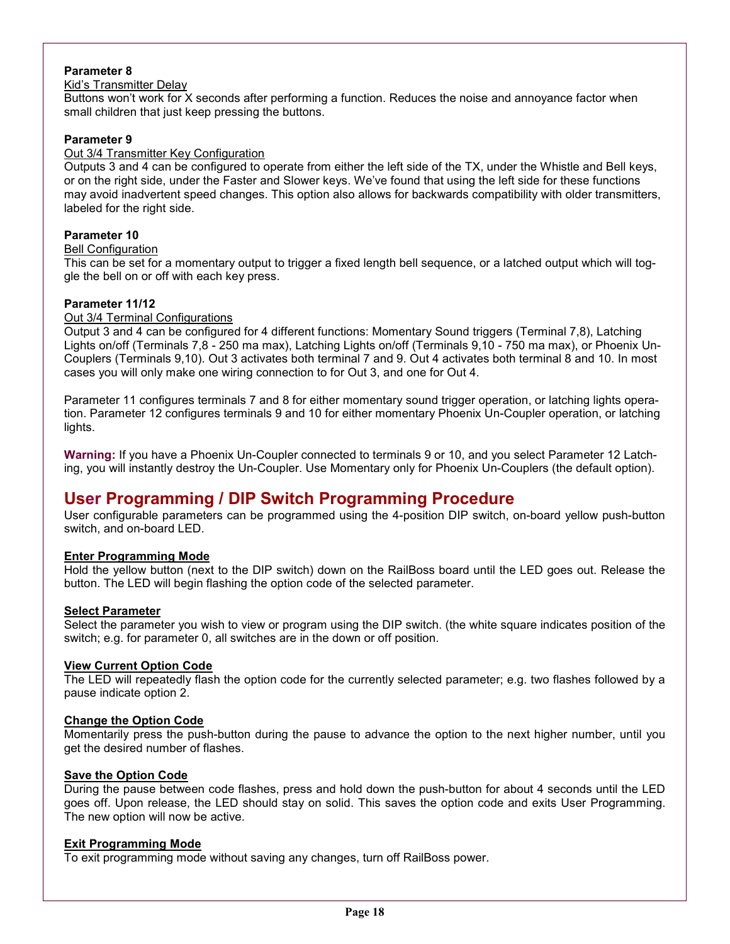### **Parameter 8**

### Kid's Transmitter Delay

Buttons won't work for X seconds after performing a function. Reduces the noise and annoyance factor when small children that just keep pressing the buttons.

### **Parameter 9**

### Out 3/4 Transmitter Key Configuration

Outputs 3 and 4 can be configured to operate from either the left side of the TX, under the Whistle and Bell keys, or on the right side, under the Faster and Slower keys. We've found that using the left side for these functions may avoid inadvertent speed changes. This option also allows for backwards compatibility with older transmitters, labeled for the right side.

### **Parameter 10**

### Bell Configuration

This can be set for a momentary output to trigger a fixed length bell sequence, or a latched output which will toggle the bell on or off with each key press.

### **Parameter 11/12**

### Out 3/4 Terminal Configurations

Output 3 and 4 can be configured for 4 different functions: Momentary Sound triggers (Terminal 7,8), Latching Lights on/off (Terminals 7,8 - 250 ma max), Latching Lights on/off (Terminals 9,10 - 750 ma max), or Phoenix Un-Couplers (Terminals 9,10). Out 3 activates both terminal 7 and 9. Out 4 activates both terminal 8 and 10. In most cases you will only make one wiring connection to for Out 3, and one for Out 4.

Parameter 11 configures terminals 7 and 8 for either momentary sound trigger operation, or latching lights operation. Parameter 12 configures terminals 9 and 10 for either momentary Phoenix Un-Coupler operation, or latching lights.

**Warning:** If you have a Phoenix Un-Coupler connected to terminals 9 or 10, and you select Parameter 12 Latching, you will instantly destroy the Un-Coupler. Use Momentary only for Phoenix Un-Couplers (the default option).

### **User Programming / DIP Switch Programming Procedure**

User configurable parameters can be programmed using the 4-position DIP switch, on-board yellow push-button switch, and on-board LED.

### **Enter Programming Mode**

Hold the yellow button (next to the DIP switch) down on the RailBoss board until the LED goes out. Release the button. The LED will begin flashing the option code of the selected parameter.

### **Select Parameter**

Select the parameter you wish to view or program using the DIP switch. (the white square indicates position of the switch; e.g. for parameter 0, all switches are in the down or off position.

### **View Current Option Code**

The LED will repeatedly flash the option code for the currently selected parameter; e.g. two flashes followed by a pause indicate option 2.

### **Change the Option Code**

Momentarily press the push-button during the pause to advance the option to the next higher number, until you get the desired number of flashes.

### **Save the Option Code**

During the pause between code flashes, press and hold down the push-button for about 4 seconds until the LED goes off. Upon release, the LED should stay on solid. This saves the option code and exits User Programming. The new option will now be active.

### **Exit Programming Mode**

To exit programming mode without saving any changes, turn off RailBoss power.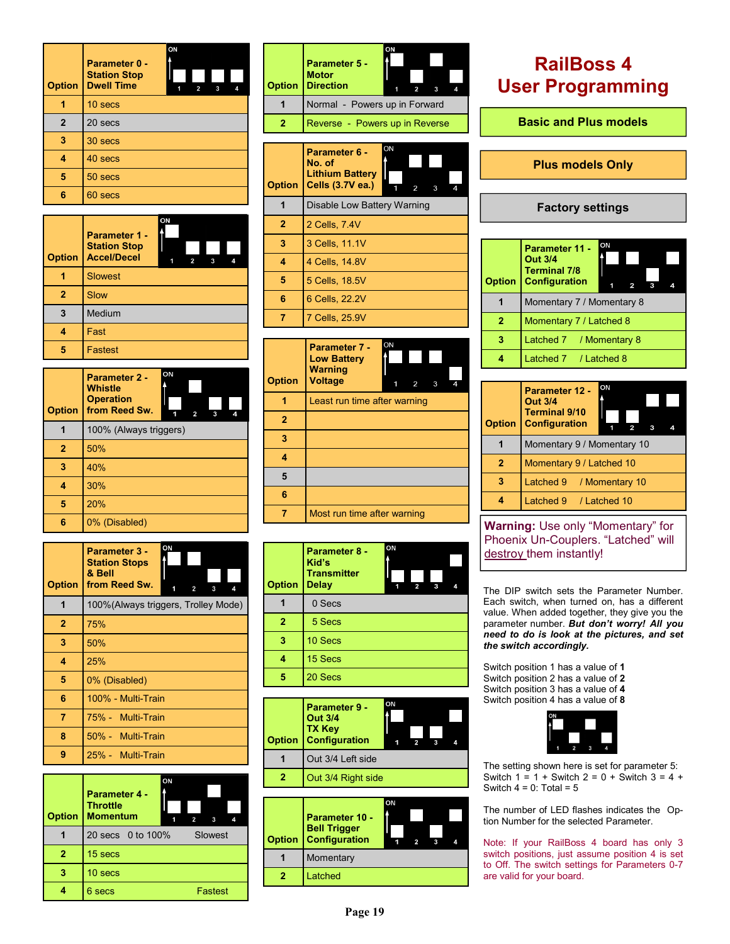| <b>Option</b> | ON<br>Parameter 0 -<br><b>Station Stop</b><br><b>Dwell Time</b><br>$\overline{2}$<br>3<br>1<br>4 |
|---------------|--------------------------------------------------------------------------------------------------|
|               | 10 secs                                                                                          |
| $\mathbf{2}$  | 20 secs                                                                                          |
| 3             | 30 secs                                                                                          |
| 4             | 40 secs                                                                                          |
| 5             | 50 secs                                                                                          |
| 6             | 60 secs                                                                                          |

| <b>Option</b> | ΟN<br>Parameter 1 -<br><b>Station Stop</b><br><b>Accel/Decel</b><br>3<br>4<br>2 |
|---------------|---------------------------------------------------------------------------------|
|               | <b>Slowest</b>                                                                  |
| 2             | <b>Slow</b>                                                                     |
| 3             | Medium                                                                          |
|               | Fast                                                                            |
| 5             | Fastest                                                                         |

| <b>Option</b> | ON<br>Parameter 2 -<br>Whistle<br><b>Operation</b><br>from Reed Sw.<br>3<br>2<br>4 |
|---------------|------------------------------------------------------------------------------------|
|               | 100% (Always triggers)                                                             |
| $\mathbf{2}$  | 50%                                                                                |
| 3             | 40%                                                                                |
| 4             | 30%                                                                                |
| 5             | 20%                                                                                |
| 6             | 0% (Disabled)                                                                      |

| <b>Option</b>  | ON<br>Parameter 3 -<br><b>Station Stops</b><br>& Bell<br>from Reed Sw.<br>1<br>3<br>2 |
|----------------|---------------------------------------------------------------------------------------|
| 1              | 100% (Always triggers, Trolley Mode)                                                  |
| $\overline{2}$ | 75%                                                                                   |
| 3              | 50%                                                                                   |
| 4              | 25%                                                                                   |
| 5              | 0% (Disabled)                                                                         |
| 6              | 100% - Multi-Train                                                                    |
| 7              | 75% - Multi-Train                                                                     |
| 8              | 50% - Multi-Train                                                                     |
| 9              | 25% - Multi-Train                                                                     |

| <b>Option</b> | Parameter 4 -<br><b>Throttle</b><br><b>Momentum</b> | ON | $\overline{2}$ | 3       |  |
|---------------|-----------------------------------------------------|----|----------------|---------|--|
|               | 20 secs 0 to 100%                                   |    |                | Slowest |  |
| 2             | 15 secs                                             |    |                |         |  |
| 3             | 10 secs                                             |    |                |         |  |
|               | 6 secs                                              |    |                | Fastest |  |

| <b>Option</b>  | ON<br>Parameter 5 -<br><b>Motor</b><br><b>Direction</b><br>3                                                   |
|----------------|----------------------------------------------------------------------------------------------------------------|
|                | Normal - Powers up in Forward                                                                                  |
| $\overline{2}$ | Reverse - Powers up in Reverse                                                                                 |
|                |                                                                                                                |
| <b>Option</b>  | ON<br><b>Parameter 6 -</b><br>No. of<br><b>Lithium Battery</b><br>Cells (3.7V ea.)<br>$\mathfrak{p}$<br>3<br>Δ |
| 1              | Disable Low Battery Warning                                                                                    |
| $\overline{2}$ | 2 Cells, 7.4V                                                                                                  |
| 3              | 3 Cells, 11.1V                                                                                                 |
|                |                                                                                                                |

| 4 Cells, 14.8V |
|----------------|
| 5 Cells, 18.5V |
| 6 Cells, 22.2V |
| 7 Cells, 25.9V |

| <b>Option</b>  | ON<br>Parameter 7 -<br><b>Low Battery</b><br><b>Warning</b><br><b>Voltage</b><br>3<br>2<br>4 |
|----------------|----------------------------------------------------------------------------------------------|
|                | Least run time after warning                                                                 |
| $\overline{2}$ |                                                                                              |
| 3              |                                                                                              |
| 4              |                                                                                              |
| 5              |                                                                                              |
| 6              |                                                                                              |
|                | Most run time after warning                                                                  |

| <b>Option</b>  | Parameter 8 -<br>Kid's<br><b>Transmitter</b><br><b>Delay</b> | ON<br>1 | 2 | з | 4 |
|----------------|--------------------------------------------------------------|---------|---|---|---|
|                | 0 Secs                                                       |         |   |   |   |
| $\overline{2}$ | 5 Secs                                                       |         |   |   |   |
| 3              | 10 Secs                                                      |         |   |   |   |
|                | 15 Secs                                                      |         |   |   |   |
| 5              | 20 Secs                                                      |         |   |   |   |

| <b>Option</b> | Parameter 9 -<br><b>Out 3/4</b><br><b>TX Key</b><br>Configuration | ON |  |  |
|---------------|-------------------------------------------------------------------|----|--|--|
|               | Out 3/4 Left side                                                 |    |  |  |
| 2             | Out 3/4 Right side                                                |    |  |  |
|               |                                                                   |    |  |  |

|  | <b>Parameter 10 -</b><br><b>Bell Trigger</b><br><b>Option</b> Configuration | ON |  |  |
|--|-----------------------------------------------------------------------------|----|--|--|
|  | Momentary                                                                   |    |  |  |
|  | Latched                                                                     |    |  |  |
|  |                                                                             |    |  |  |

# **RailBoss 4 User Programming**

**Basic and Plus models** 

**Plus models Only** 

### **Factory settings**

| <b>Option</b> | Parameter 11 -<br><b>Out 3/4</b><br><b>Terminal 7/8</b><br><b>Configuration</b> | ON |  |  |  |  |
|---------------|---------------------------------------------------------------------------------|----|--|--|--|--|
|               | Momentary 7 / Momentary 8                                                       |    |  |  |  |  |
| 2             | Momentary 7 / Latched 8                                                         |    |  |  |  |  |
| 3             | Latched 7 / Momentary 8                                                         |    |  |  |  |  |
|               | Latched 7 / Latched 8                                                           |    |  |  |  |  |

| <b>Option</b>  | Parameter 12 -<br><b>Out 3/4</b><br><b>Terminal 9/10</b><br><b>Configuration</b> | ON |  |  |  |  |
|----------------|----------------------------------------------------------------------------------|----|--|--|--|--|
|                | Momentary 9 / Momentary 10                                                       |    |  |  |  |  |
| $\overline{2}$ | Momentary 9 / Latched 10                                                         |    |  |  |  |  |
| з              | Latched 9<br>/ Momentary 10                                                      |    |  |  |  |  |
|                | Latched 9 / Latched 10                                                           |    |  |  |  |  |

**Warning:** Use only "Momentary" for Phoenix Un-Couplers. "Latched" will destroy them instantly!

The DIP switch sets the Parameter Number. Each switch, when turned on, has a different value. When added together, they give you the parameter number. *But don't worry! All you need to do is look at the pictures, and set the switch accordingly.* 

Switch position 1 has a value of **1** Switch position 2 has a value of **2** Switch position 3 has a value of **4**  Switch position 4 has a value of **8**



The setting shown here is set for parameter 5: Switch  $1 = 1 +$  Switch  $2 = 0 +$  Switch  $3 = 4 +$ Switch  $4 = 0$ : Total = 5

The number of LED flashes indicates the Option Number for the selected Parameter.

Note: If your RailBoss 4 board has only 3 switch positions, just assume position 4 is set to Off. The switch settings for Parameters 0-7 are valid for your board.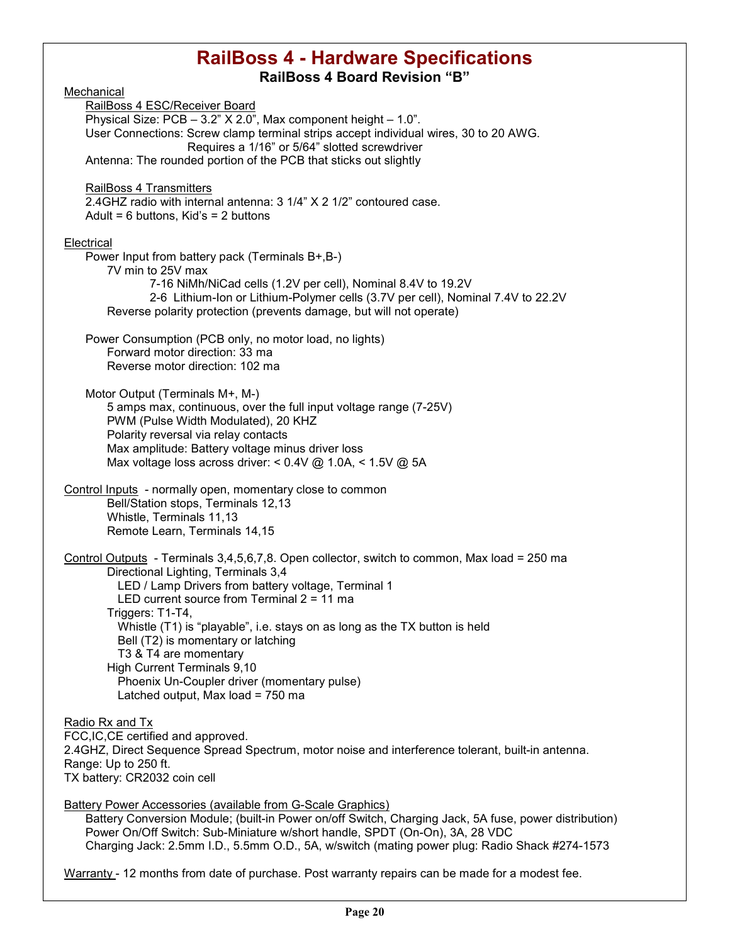### **RailBoss 4 - Hardware Specifications RailBoss 4 Board Revision "B"**

Mechanical RailBoss 4 ESC/Receiver Board Physical Size:  $PCB - 3.2" X 2.0"$ , Max component height  $- 1.0"$ . User Connections: Screw clamp terminal strips accept individual wires, 30 to 20 AWG. Requires a 1/16" or 5/64" slotted screwdriver Antenna: The rounded portion of the PCB that sticks out slightly RailBoss 4 Transmitters 2.4GHZ radio with internal antenna: 3 1/4" X 2 1/2" contoured case. Adult =  $6$  buttons, Kid's =  $2$  buttons **Electrical** Power Input from battery pack (Terminals B+,B-) 7V min to 25V max 7-16 NiMh/NiCad cells (1.2V per cell), Nominal 8.4V to 19.2V 2-6 Lithium-Ion or Lithium-Polymer cells (3.7V per cell), Nominal 7.4V to 22.2V Reverse polarity protection (prevents damage, but will not operate) Power Consumption (PCB only, no motor load, no lights) Forward motor direction: 33 ma Reverse motor direction: 102 ma Motor Output (Terminals M+, M-) 5 amps max, continuous, over the full input voltage range (7-25V) PWM (Pulse Width Modulated), 20 KHZ Polarity reversal via relay contacts Max amplitude: Battery voltage minus driver loss Max voltage loss across driver: < 0.4V @ 1.0A, < 1.5V @ 5A Control Inputs - normally open, momentary close to common Bell/Station stops, Terminals 12,13 Whistle, Terminals 11,13 Remote Learn, Terminals 14,15 Control Outputs - Terminals 3,4,5,6,7,8. Open collector, switch to common, Max load = 250 ma Directional Lighting, Terminals 3,4 LED / Lamp Drivers from battery voltage, Terminal 1 LED current source from Terminal 2 = 11 ma Triggers: T1-T4, Whistle (T1) is "playable", i.e. stays on as long as the TX button is held Bell (T2) is momentary or latching T3 & T4 are momentary High Current Terminals 9,10 Phoenix Un-Coupler driver (momentary pulse) Latched output, Max load = 750 ma Radio Rx and Tx FCC,IC,CE certified and approved. 2.4GHZ, Direct Sequence Spread Spectrum, motor noise and interference tolerant, built-in antenna. Range: Up to 250 ft. TX battery: CR2032 coin cell Battery Power Accessories (available from G-Scale Graphics) Battery Conversion Module; (built-in Power on/off Switch, Charging Jack, 5A fuse, power distribution) Power On/Off Switch: Sub-Miniature w/short handle, SPDT (On-On), 3A, 28 VDC Charging Jack: 2.5mm I.D., 5.5mm O.D., 5A, w/switch (mating power plug: Radio Shack #274-1573

Warranty - 12 months from date of purchase. Post warranty repairs can be made for a modest fee.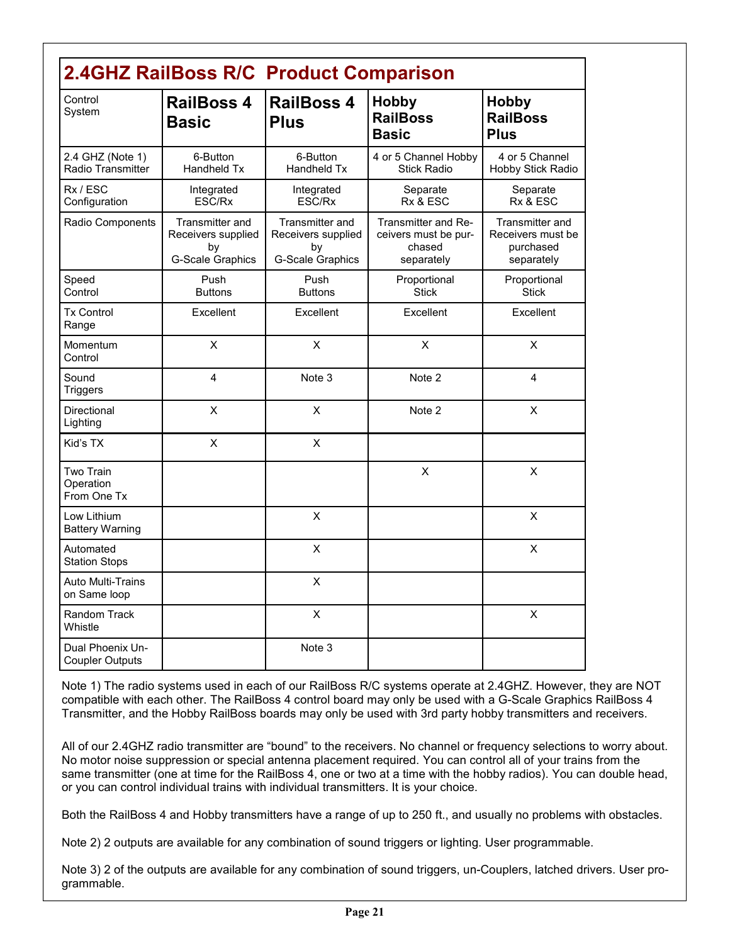| <b>2.4GHZ RailBoss R/C Product Comparison</b> |                                                                        |                                                                               |                                                                     |                                                                 |  |  |  |
|-----------------------------------------------|------------------------------------------------------------------------|-------------------------------------------------------------------------------|---------------------------------------------------------------------|-----------------------------------------------------------------|--|--|--|
| Control<br>System                             | <b>RailBoss 4</b><br><b>Basic</b>                                      | <b>RailBoss 4</b><br><b>Plus</b>                                              | <b>Hobby</b><br><b>RailBoss</b><br><b>Basic</b>                     | <b>Hobby</b><br><b>RailBoss</b><br><b>Plus</b>                  |  |  |  |
| 2.4 GHZ (Note 1)<br>Radio Transmitter         | 6-Button<br>Handheld Tx                                                | 6-Button<br>Handheld Tx                                                       | 4 or 5 Channel Hobby<br><b>Stick Radio</b>                          | 4 or 5 Channel<br>Hobby Stick Radio                             |  |  |  |
| Rx / ESC<br>Configuration                     | Integrated<br>ESC/Rx                                                   | Integrated<br>ESC/Rx                                                          | Separate<br>Rx & ESC                                                | Separate<br>Rx & ESC                                            |  |  |  |
| Radio Components                              | Transmitter and<br>Receivers supplied<br>by<br><b>G-Scale Graphics</b> | <b>Transmitter and</b><br>Receivers supplied<br>by<br><b>G-Scale Graphics</b> | Transmitter and Re-<br>ceivers must be pur-<br>chased<br>separately | Transmitter and<br>Receivers must be<br>purchased<br>separately |  |  |  |
| Speed<br>Control                              | Push<br><b>Buttons</b>                                                 | Push<br><b>Buttons</b>                                                        | Proportional<br><b>Stick</b>                                        | Proportional<br><b>Stick</b>                                    |  |  |  |
| <b>Tx Control</b><br>Range                    | Excellent                                                              | Excellent                                                                     | Excellent                                                           | Excellent                                                       |  |  |  |
| Momentum<br>Control                           | X                                                                      | X                                                                             | X                                                                   | X                                                               |  |  |  |
| Sound<br><b>Triggers</b>                      | 4                                                                      | Note 3                                                                        | Note 2                                                              | 4                                                               |  |  |  |
| <b>Directional</b><br>Lighting                | X                                                                      | X                                                                             | Note 2                                                              | X                                                               |  |  |  |
| Kid's TX                                      | X                                                                      | $\sf X$                                                                       |                                                                     |                                                                 |  |  |  |
| Two Train<br>Operation<br>From One Tx         |                                                                        |                                                                               | X                                                                   | X                                                               |  |  |  |
| Low Lithium<br><b>Battery Warning</b>         |                                                                        | X                                                                             |                                                                     | X                                                               |  |  |  |
| Automated<br><b>Station Stops</b>             |                                                                        | X                                                                             |                                                                     | X                                                               |  |  |  |
| <b>Auto Multi-Trains</b><br>on Same loop      |                                                                        | $\sf X$                                                                       |                                                                     |                                                                 |  |  |  |
| Random Track<br>Whistle                       |                                                                        | X                                                                             |                                                                     | X                                                               |  |  |  |
| Dual Phoenix Un-<br><b>Coupler Outputs</b>    |                                                                        | Note 3                                                                        |                                                                     |                                                                 |  |  |  |

Note 1) The radio systems used in each of our RailBoss R/C systems operate at 2.4GHZ. However, they are NOT compatible with each other. The RailBoss 4 control board may only be used with a G-Scale Graphics RailBoss 4 Transmitter, and the Hobby RailBoss boards may only be used with 3rd party hobby transmitters and receivers.

All of our 2.4GHZ radio transmitter are "bound" to the receivers. No channel or frequency selections to worry about. No motor noise suppression or special antenna placement required. You can control all of your trains from the same transmitter (one at time for the RailBoss 4, one or two at a time with the hobby radios). You can double head, or you can control individual trains with individual transmitters. It is your choice.

Both the RailBoss 4 and Hobby transmitters have a range of up to 250 ft., and usually no problems with obstacles.

Note 2) 2 outputs are available for any combination of sound triggers or lighting. User programmable.

Note 3) 2 of the outputs are available for any combination of sound triggers, un-Couplers, latched drivers. User programmable.